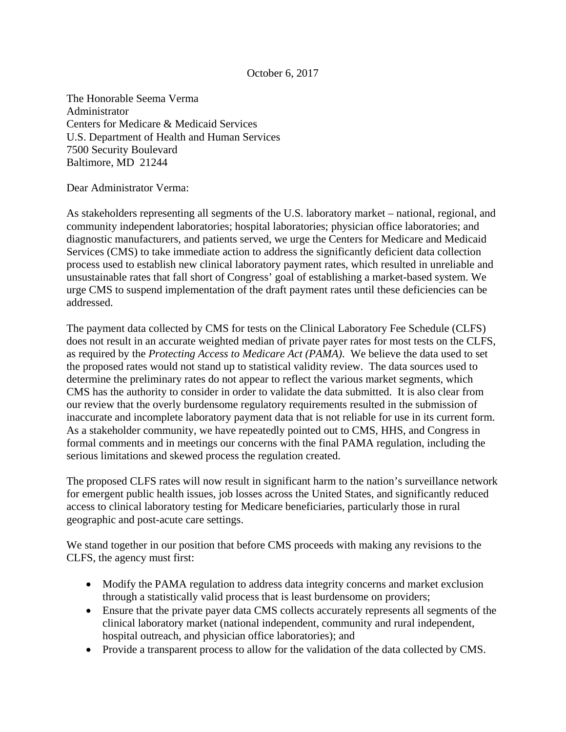## October 6, 2017

The Honorable Seema Verma Administrator Centers for Medicare & Medicaid Services U.S. Department of Health and Human Services 7500 Security Boulevard Baltimore, MD 21244

Dear Administrator Verma:

As stakeholders representing all segments of the U.S. laboratory market – national, regional, and community independent laboratories; hospital laboratories; physician office laboratories; and diagnostic manufacturers, and patients served, we urge the Centers for Medicare and Medicaid Services (CMS) to take immediate action to address the significantly deficient data collection process used to establish new clinical laboratory payment rates, which resulted in unreliable and unsustainable rates that fall short of Congress' goal of establishing a market-based system. We urge CMS to suspend implementation of the draft payment rates until these deficiencies can be addressed.

The payment data collected by CMS for tests on the Clinical Laboratory Fee Schedule (CLFS) does not result in an accurate weighted median of private payer rates for most tests on the CLFS, as required by the *Protecting Access to Medicare Act (PAMA)*. We believe the data used to set the proposed rates would not stand up to statistical validity review. The data sources used to determine the preliminary rates do not appear to reflect the various market segments, which CMS has the authority to consider in order to validate the data submitted. It is also clear from our review that the overly burdensome regulatory requirements resulted in the submission of inaccurate and incomplete laboratory payment data that is not reliable for use in its current form. As a stakeholder community, we have repeatedly pointed out to CMS, HHS, and Congress in formal comments and in meetings our concerns with the final PAMA regulation, including the serious limitations and skewed process the regulation created.

The proposed CLFS rates will now result in significant harm to the nation's surveillance network for emergent public health issues, job losses across the United States, and significantly reduced access to clinical laboratory testing for Medicare beneficiaries, particularly those in rural geographic and post-acute care settings.

We stand together in our position that before CMS proceeds with making any revisions to the CLFS, the agency must first:

- Modify the PAMA regulation to address data integrity concerns and market exclusion through a statistically valid process that is least burdensome on providers;
- Ensure that the private payer data CMS collects accurately represents all segments of the clinical laboratory market (national independent, community and rural independent, hospital outreach, and physician office laboratories); and
- Provide a transparent process to allow for the validation of the data collected by CMS.